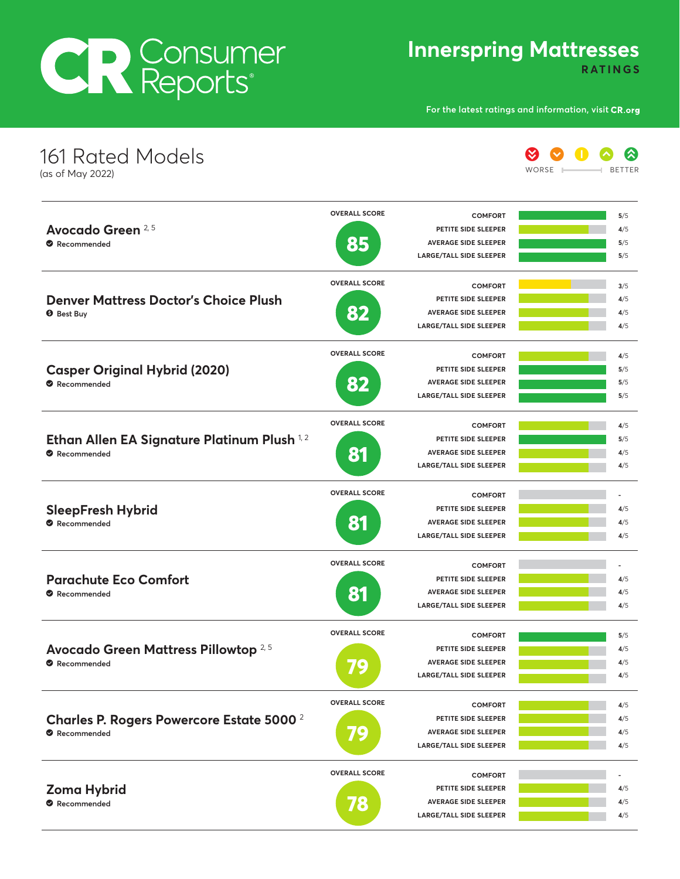# CR Consumer

**Innerspring Mattresses**

**RATINGS**

**For the latest ratings and information, visit**

| 161 Rated Models<br>(as of May 2022)             |                      |                                | WORSE | ℅<br>BETTER |
|--------------------------------------------------|----------------------|--------------------------------|-------|-------------|
|                                                  | <b>OVERALL SCORE</b> | <b>COMFORT</b>                 |       | 5/5         |
| Avocado Green 2,5                                |                      | PETITE SIDE SLEEPER            |       | 4/5         |
| Recommended                                      | 85                   | <b>AVERAGE SIDE SLEEPER</b>    |       | 5/5         |
|                                                  |                      | LARGE/TALL SIDE SLEEPER        |       | 5/5         |
|                                                  | <b>OVERALL SCORE</b> | <b>COMFORT</b>                 |       | 3/5         |
| <b>Denver Mattress Doctor's Choice Plush</b>     |                      | PETITE SIDE SLEEPER            |       | 4/5         |
| <b>O</b> Best Buy                                | 82                   | <b>AVERAGE SIDE SLEEPER</b>    |       | 4/5         |
|                                                  |                      | LARGE/TALL SIDE SLEEPER        |       | 4/5         |
|                                                  | <b>OVERALL SCORE</b> | <b>COMFORT</b>                 |       | 4/5         |
| <b>Casper Original Hybrid (2020)</b>             |                      | PETITE SIDE SLEEPER            |       | 5/5         |
| Recommended                                      | 82                   | <b>AVERAGE SIDE SLEEPER</b>    |       | 5/5         |
|                                                  |                      | LARGE/TALL SIDE SLEEPER        |       | 5/5         |
|                                                  | <b>OVERALL SCORE</b> | <b>COMFORT</b>                 |       | 4/5         |
| Ethan Allen EA Signature Platinum Plush 1,2      |                      | PETITE SIDE SLEEPER            |       | 5/5         |
| Recommended                                      | 81                   | <b>AVERAGE SIDE SLEEPER</b>    |       | 4/5         |
|                                                  |                      | LARGE/TALL SIDE SLEEPER        |       | 4/5         |
|                                                  | <b>OVERALL SCORE</b> | <b>COMFORT</b>                 |       |             |
| <b>SleepFresh Hybrid</b>                         |                      | PETITE SIDE SLEEPER            |       | 4/5         |
| Recommended                                      | 81                   | <b>AVERAGE SIDE SLEEPER</b>    |       | 4/5         |
|                                                  |                      | <b>LARGE/TALL SIDE SLEEPER</b> |       | 4/5         |
|                                                  | <b>OVERALL SCORE</b> | <b>COMFORT</b>                 |       |             |
| <b>Parachute Eco Comfort</b>                     |                      | PETITE SIDE SLEEPER            |       | 4/5         |
| Recommended                                      | 81                   | <b>AVERAGE SIDE SLEEPER</b>    |       | 4/5         |
|                                                  |                      | <b>LARGE/TALL SIDE SLEEPER</b> |       | 4/5         |
|                                                  | <b>OVERALL SCORE</b> | <b>COMFORT</b>                 |       | 5/5         |
| Avocado Green Mattress Pillowtop 2, 5            |                      | PETITE SIDE SLEEPER            |       | 4/5         |
| Recommended                                      | 79                   | <b>AVERAGE SIDE SLEEPER</b>    |       | 4/5         |
|                                                  |                      | <b>LARGE/TALL SIDE SLEEPER</b> |       | 4/5         |
|                                                  | <b>OVERALL SCORE</b> | <b>COMFORT</b>                 |       | 4/5         |
| <b>Charles P. Rogers Powercore Estate 5000 2</b> |                      | PETITE SIDE SLEEPER            |       | 4/5         |
| Recommended                                      | E                    | <b>AVERAGE SIDE SLEEPER</b>    |       | 4/5         |
|                                                  |                      | <b>LARGE/TALL SIDE SLEEPER</b> |       | 4/5         |
|                                                  | <b>OVERALL SCORE</b> | <b>COMFORT</b>                 |       |             |
| <b>Zoma Hybrid</b>                               |                      | PETITE SIDE SLEEPER            |       | 4/5         |
| Recommended                                      | 78                   | <b>AVERAGE SIDE SLEEPER</b>    |       | 4/5         |
|                                                  |                      | <b>LARGE/TALL SIDE SLEEPER</b> |       | 4/5         |
|                                                  |                      |                                |       |             |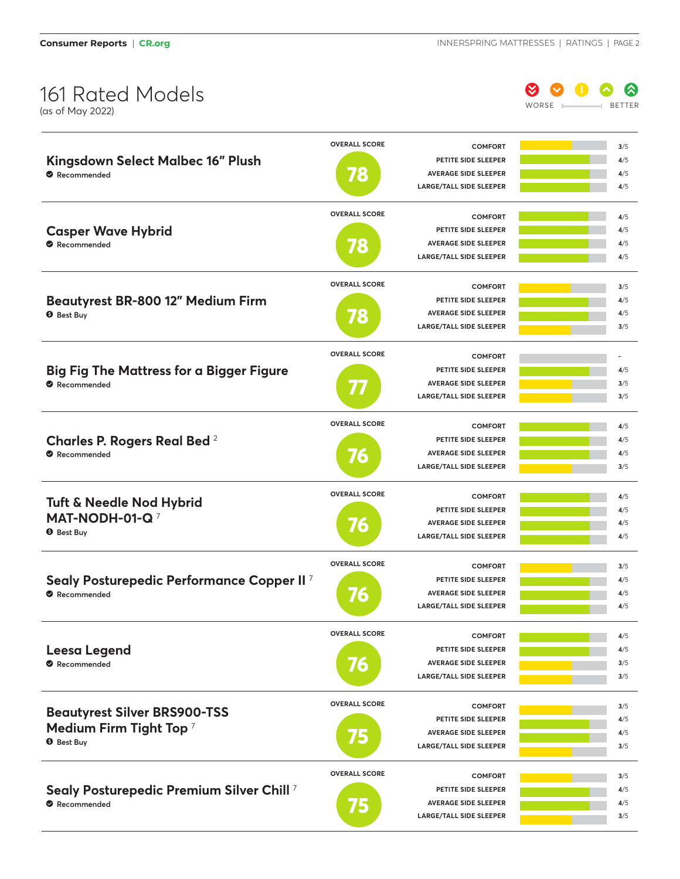

|                                                       | <b>OVERALL SCORE</b> | <b>COMFORT</b>                 | 3/5 |
|-------------------------------------------------------|----------------------|--------------------------------|-----|
| Kingsdown Select Malbec 16" Plush                     |                      | PETITE SIDE SLEEPER            | 4/5 |
| Recommended                                           | 78                   | <b>AVERAGE SIDE SLEEPER</b>    | 4/5 |
|                                                       |                      | <b>LARGE/TALL SIDE SLEEPER</b> | 4/5 |
|                                                       | <b>OVERALL SCORE</b> | <b>COMFORT</b>                 | 4/5 |
| <b>Casper Wave Hybrid</b>                             |                      | PETITE SIDE SLEEPER            | 4/5 |
| Recommended                                           |                      | <b>AVERAGE SIDE SLEEPER</b>    | 4/5 |
|                                                       | 78                   | <b>LARGE/TALL SIDE SLEEPER</b> | 4/5 |
|                                                       |                      |                                |     |
|                                                       | <b>OVERALL SCORE</b> | <b>COMFORT</b>                 | 3/5 |
| Beautyrest BR-800 12" Medium Firm                     |                      | PETITE SIDE SLEEPER            | 4/5 |
| <b>O</b> Best Buy                                     | 78                   | <b>AVERAGE SIDE SLEEPER</b>    | 4/5 |
|                                                       |                      | <b>LARGE/TALL SIDE SLEEPER</b> | 3/5 |
|                                                       | <b>OVERALL SCORE</b> | <b>COMFORT</b>                 |     |
| <b>Big Fig The Mattress for a Bigger Figure</b>       |                      | PETITE SIDE SLEEPER            | 4/5 |
| Recommended                                           |                      | <b>AVERAGE SIDE SLEEPER</b>    | 3/5 |
|                                                       |                      | <b>LARGE/TALL SIDE SLEEPER</b> | 3/5 |
|                                                       |                      |                                |     |
|                                                       | <b>OVERALL SCORE</b> | <b>COMFORT</b>                 | 4/5 |
| <b>Charles P. Rogers Real Bed</b> 2                   |                      | PETITE SIDE SLEEPER            | 4/5 |
| Recommended                                           | 76                   | <b>AVERAGE SIDE SLEEPER</b>    | 4/5 |
|                                                       |                      | <b>LARGE/TALL SIDE SLEEPER</b> | 3/5 |
|                                                       | <b>OVERALL SCORE</b> | <b>COMFORT</b>                 | 4/5 |
| <b>Tuft &amp; Needle Nod Hybrid</b>                   |                      | PETITE SIDE SLEEPER            | 4/5 |
| MAT-NODH-01-Q <sup>7</sup>                            |                      | <b>AVERAGE SIDE SLEEPER</b>    | 4/5 |
| <b>9</b> Best Buy                                     | 76                   | <b>LARGE/TALL SIDE SLEEPER</b> | 4/5 |
|                                                       |                      |                                |     |
|                                                       | <b>OVERALL SCORE</b> | <b>COMFORT</b>                 | 3/5 |
| Sealy Posturepedic Performance Copper II <sup>7</sup> |                      | PETITE SIDE SLEEPER            | 4/5 |
| Recommended                                           | 76                   | <b>AVERAGE SIDE SLEEPER</b>    | 4/5 |
|                                                       |                      | <b>LARGE/TALL SIDE SLEEPER</b> | 4/5 |
|                                                       | <b>OVERALL SCORE</b> | <b>COMFORT</b>                 | 4/5 |
| <b>Leesa Legend</b>                                   |                      | PETITE SIDE SLEEPER            | 4/5 |
| Recommended                                           | 76                   | <b>AVERAGE SIDE SLEEPER</b>    | 3/5 |
|                                                       |                      | <b>LARGE/TALL SIDE SLEEPER</b> | 3/5 |
|                                                       |                      |                                |     |
|                                                       |                      |                                |     |
|                                                       | <b>OVERALL SCORE</b> | <b>COMFORT</b>                 | 3/5 |
| <b>Beautyrest Silver BRS900-TSS</b>                   |                      | PETITE SIDE SLEEPER            | 4/5 |
| Medium Firm Tight Top <sup>7</sup>                    |                      | <b>AVERAGE SIDE SLEEPER</b>    | 4/5 |
| <b>O</b> Best Buy                                     | 15                   | <b>LARGE/TALL SIDE SLEEPER</b> | 3/5 |
|                                                       | <b>OVERALL SCORE</b> | <b>COMFORT</b>                 | 3/5 |
|                                                       |                      | PETITE SIDE SLEEPER            | 4/5 |
| Sealy Posturepedic Premium Silver Chill 7             |                      | <b>AVERAGE SIDE SLEEPER</b>    | 4/5 |
| Recommended                                           | 75                   | LARGE/TALL SIDE SLEEPER        | 3/5 |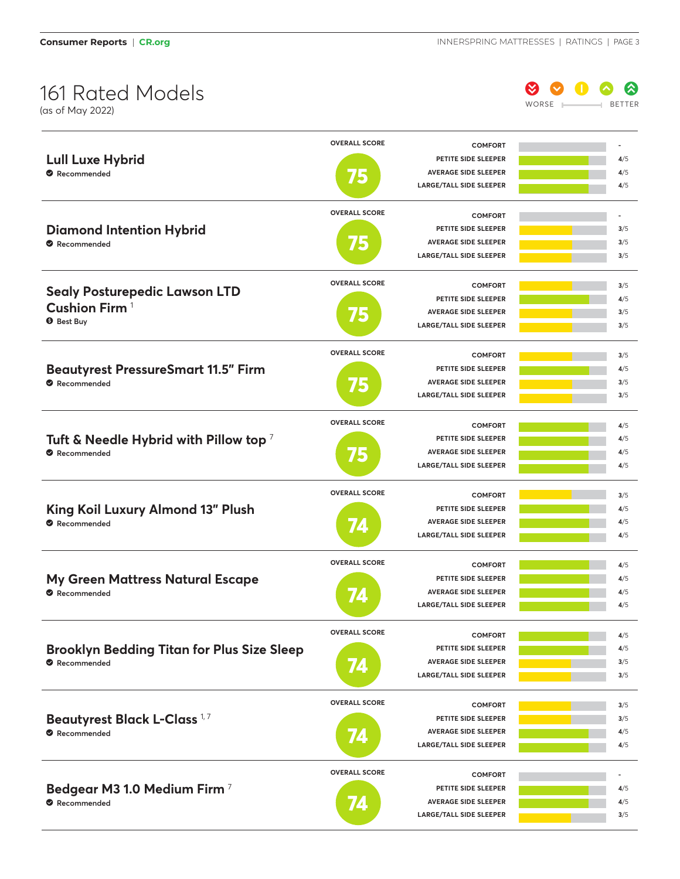

|                                                                  | <b>OVERALL SCORE</b> | <b>COMFORT</b>                                                |            |
|------------------------------------------------------------------|----------------------|---------------------------------------------------------------|------------|
| <b>Lull Luxe Hybrid</b>                                          |                      | PETITE SIDE SLEEPER                                           | 4/5        |
| Recommended                                                      | 75                   | <b>AVERAGE SIDE SLEEPER</b>                                   | 4/5        |
|                                                                  |                      | <b>LARGE/TALL SIDE SLEEPER</b>                                | 4/5        |
|                                                                  |                      |                                                               |            |
|                                                                  | <b>OVERALL SCORE</b> | <b>COMFORT</b>                                                |            |
| <b>Diamond Intention Hybrid</b>                                  |                      | PETITE SIDE SLEEPER                                           | 3/5        |
| Recommended                                                      | 75                   | <b>AVERAGE SIDE SLEEPER</b>                                   | 3/5        |
|                                                                  |                      | <b>LARGE/TALL SIDE SLEEPER</b>                                | 3/5        |
|                                                                  | <b>OVERALL SCORE</b> | <b>COMFORT</b>                                                | 3/5        |
| <b>Sealy Posturepedic Lawson LTD</b>                             |                      | PETITE SIDE SLEEPER                                           | 4/5        |
| Cushion Firm <sup>1</sup>                                        |                      | <b>AVERAGE SIDE SLEEPER</b>                                   | 3/5        |
| <b>O</b> Best Buy                                                | <b>VF</b>            | <b>LARGE/TALL SIDE SLEEPER</b>                                | 3/5        |
|                                                                  |                      |                                                               |            |
|                                                                  | <b>OVERALL SCORE</b> | <b>COMFORT</b>                                                | 3/5        |
| <b>Beautyrest PressureSmart 11.5" Firm</b>                       |                      | PETITE SIDE SLEEPER                                           | 4/5        |
| Recommended                                                      | 15                   | <b>AVERAGE SIDE SLEEPER</b>                                   | 3/5        |
|                                                                  |                      | <b>LARGE/TALL SIDE SLEEPER</b>                                | 3/5        |
|                                                                  | <b>OVERALL SCORE</b> |                                                               |            |
|                                                                  |                      | <b>COMFORT</b>                                                | 4/5        |
| Tuft & Needle Hybrid with Pillow top $^7$                        |                      | PETITE SIDE SLEEPER                                           | 4/5        |
| Recommended                                                      | 15                   | <b>AVERAGE SIDE SLEEPER</b>                                   | 4/5        |
|                                                                  |                      | <b>LARGE/TALL SIDE SLEEPER</b>                                | 4/5        |
|                                                                  | <b>OVERALL SCORE</b> | <b>COMFORT</b>                                                | 3/5        |
| King Koil Luxury Almond 13" Plush                                |                      | PETITE SIDE SLEEPER                                           | 4/5        |
| Recommended                                                      | 74                   | <b>AVERAGE SIDE SLEEPER</b>                                   | 4/5        |
|                                                                  |                      | <b>LARGE/TALL SIDE SLEEPER</b>                                | 4/5        |
|                                                                  | <b>OVERALL SCORE</b> |                                                               |            |
|                                                                  |                      | <b>COMFORT</b>                                                | 4/5        |
| <b>My Green Mattress Natural Escape</b>                          |                      | PETITE SIDE SLEEPER<br><b>AVERAGE SIDE SLEEPER</b>            | 4/5        |
| Recommended                                                      |                      | <b>LARGE/TALL SIDE SLEEPER</b>                                | 4/5<br>4/5 |
|                                                                  |                      |                                                               |            |
|                                                                  | <b>OVERALL SCORE</b> | <b>COMFORT</b>                                                | 4/5        |
|                                                                  |                      |                                                               |            |
|                                                                  |                      | PETITE SIDE SLEEPER                                           | 4/5        |
| <b>Brooklyn Bedding Titan for Plus Size Sleep</b><br>Recommended |                      | <b>AVERAGE SIDE SLEEPER</b>                                   | 3/5        |
|                                                                  | 74                   | <b>LARGE/TALL SIDE SLEEPER</b>                                | 3/5        |
|                                                                  |                      |                                                               |            |
|                                                                  | <b>OVERALL SCORE</b> | <b>COMFORT</b>                                                | 3/5        |
| <b>Beautyrest Black L-Class 1,7</b>                              |                      | PETITE SIDE SLEEPER                                           | 3/5        |
| Recommended                                                      | 74                   | <b>AVERAGE SIDE SLEEPER</b>                                   | 4/5        |
|                                                                  |                      | <b>LARGE/TALL SIDE SLEEPER</b>                                | 4/5        |
|                                                                  | <b>OVERALL SCORE</b> |                                                               |            |
|                                                                  |                      | <b>COMFORT</b>                                                |            |
| Bedgear M3 1.0 Medium Firm 7                                     |                      | PETITE SIDE SLEEPER                                           | 4/5        |
| Recommended                                                      |                      | <b>AVERAGE SIDE SLEEPER</b><br><b>LARGE/TALL SIDE SLEEPER</b> | 4/5<br>3/5 |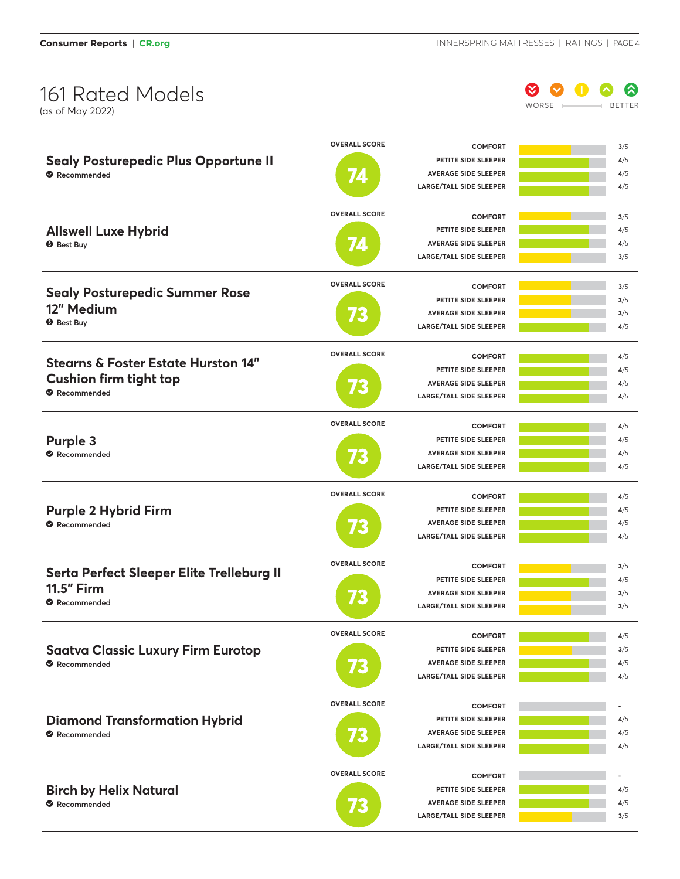

| <b>Sealy Posturepedic Plus Opportune II</b><br>Recommended                                     | <b>OVERALL SCORE</b><br>Z.  | <b>COMFORT</b><br>PETITE SIDE SLEEPER<br><b>AVERAGE SIDE SLEEPER</b><br><b>LARGE/TALL SIDE SLEEPER</b>        | 3/5<br>4/5<br>4/5<br>4/5 |
|------------------------------------------------------------------------------------------------|-----------------------------|---------------------------------------------------------------------------------------------------------------|--------------------------|
| <b>Allswell Luxe Hybrid</b><br><b>O</b> Best Buy                                               | <b>OVERALL SCORE</b><br>74  | <b>COMFORT</b><br>PETITE SIDE SLEEPER<br><b>AVERAGE SIDE SLEEPER</b><br><b>LARGE/TALL SIDE SLEEPER</b>        | 3/5<br>4/5<br>4/5<br>3/5 |
| <b>Sealy Posturepedic Summer Rose</b><br>12" Medium<br><b>O</b> Best Buy                       | <b>OVERALL SCORE</b><br>VE. | <b>COMFORT</b><br>PETITE SIDE SLEEPER<br><b>AVERAGE SIDE SLEEPER</b><br><b>LARGE/TALL SIDE SLEEPER</b>        | 3/5<br>3/5<br>3/5<br>4/5 |
| <b>Stearns &amp; Foster Estate Hurston 14"</b><br><b>Cushion firm tight top</b><br>Recommended | <b>OVERALL SCORE</b><br>73  | <b>COMFORT</b><br>PETITE SIDE SLEEPER<br><b>AVERAGE SIDE SLEEPER</b><br><b>LARGE/TALL SIDE SLEEPER</b>        | 4/5<br>4/5<br>4/5<br>4/5 |
| <b>Purple 3</b><br>Recommended                                                                 | <b>OVERALL SCORE</b><br>73  | <b>COMFORT</b><br><b>PETITE SIDE SLEEPER</b><br><b>AVERAGE SIDE SLEEPER</b><br><b>LARGE/TALL SIDE SLEEPER</b> | 4/5<br>4/5<br>4/5<br>4/5 |
| <b>Purple 2 Hybrid Firm</b><br>Recommended                                                     | <b>OVERALL SCORE</b><br>73  | <b>COMFORT</b><br>PETITE SIDE SLEEPER<br><b>AVERAGE SIDE SLEEPER</b><br><b>LARGE/TALL SIDE SLEEPER</b>        | 4/5<br>4/5<br>4/5<br>4/5 |
| Serta Perfect Sleeper Elite Trelleburg II<br><b>11.5" Firm</b><br>Recommended                  | <b>OVERALL SCORE</b><br>Æ   | <b>COMFORT</b><br>PETITE SIDE SLEEPER<br><b>AVERAGE SIDE SLEEPER</b><br><b>LARGE/TALL SIDE SLEEPER</b>        | 3/5<br>4/5<br>3/5<br>3/5 |
| <b>Saatva Classic Luxury Firm Eurotop</b><br>Recommended                                       | <b>OVERALL SCORE</b><br>73  | <b>COMFORT</b><br>PETITE SIDE SLEEPER<br><b>AVERAGE SIDE SLEEPER</b><br><b>LARGE/TALL SIDE SLEEPER</b>        | 4/5<br>3/5<br>4/5<br>4/5 |
| <b>Diamond Transformation Hybrid</b><br>Recommended                                            | <b>OVERALL SCORE</b><br>'E) | <b>COMFORT</b><br>PETITE SIDE SLEEPER<br><b>AVERAGE SIDE SLEEPER</b><br><b>LARGE/TALL SIDE SLEEPER</b>        | 4/5<br>4/5<br>4/5        |
| <b>Birch by Helix Natural</b><br>Recommended                                                   | <b>OVERALL SCORE</b><br>Æ   | <b>COMFORT</b><br>PETITE SIDE SLEEPER<br><b>AVERAGE SIDE SLEEPER</b><br><b>LARGE/TALL SIDE SLEEPER</b>        | 4/5<br>4/5<br>3/5        |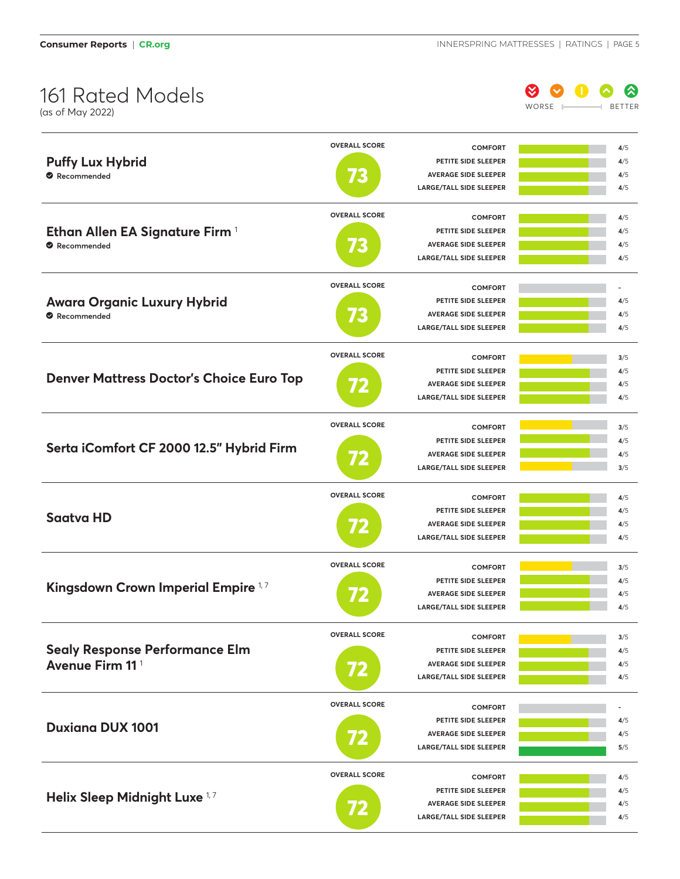

|                                                 | <b>OVERALL SCORE</b> | <b>COMFORT</b>                 | 4/5 |
|-------------------------------------------------|----------------------|--------------------------------|-----|
| <b>Puffy Lux Hybrid</b>                         |                      | PETITE SIDE SLEEPER            | 4/5 |
| Recommended                                     |                      | <b>AVERAGE SIDE SLEEPER</b>    | 4/5 |
|                                                 |                      | <b>LARGE/TALL SIDE SLEEPER</b> | 4/5 |
|                                                 |                      |                                |     |
|                                                 | <b>OVERALL SCORE</b> | <b>COMFORT</b>                 | 4/5 |
| Ethan Allen EA Signature Firm 1                 |                      | PETITE SIDE SLEEPER            | 4/5 |
| Recommended                                     | <b>X</b>             | <b>AVERAGE SIDE SLEEPER</b>    | 4/5 |
|                                                 |                      | <b>LARGE/TALL SIDE SLEEPER</b> | 4/5 |
|                                                 | <b>OVERALL SCORE</b> |                                |     |
|                                                 |                      | <b>COMFORT</b>                 |     |
| <b>Awara Organic Luxury Hybrid</b>              |                      | PETITE SIDE SLEEPER            | 4/5 |
| Recommended                                     | VE.                  | <b>AVERAGE SIDE SLEEPER</b>    | 4/5 |
|                                                 |                      | <b>LARGE/TALL SIDE SLEEPER</b> | 4/5 |
|                                                 | <b>OVERALL SCORE</b> | <b>COMFORT</b>                 | 3/5 |
|                                                 |                      | PETITE SIDE SLEEPER            | 4/5 |
| <b>Denver Mattress Doctor's Choice Euro Top</b> | $\boldsymbol{V}$     | <b>AVERAGE SIDE SLEEPER</b>    | 4/5 |
|                                                 |                      | <b>LARGE/TALL SIDE SLEEPER</b> | 4/5 |
|                                                 |                      |                                |     |
|                                                 | <b>OVERALL SCORE</b> | <b>COMFORT</b>                 | 3/5 |
|                                                 |                      | PETITE SIDE SLEEPER            | 4/5 |
| Serta iComfort CF 2000 12.5" Hybrid Firm        |                      | <b>AVERAGE SIDE SLEEPER</b>    | 4/5 |
|                                                 | 72                   | <b>LARGE/TALL SIDE SLEEPER</b> | 3/5 |
|                                                 |                      |                                |     |
|                                                 | <b>OVERALL SCORE</b> | <b>COMFORT</b>                 | 4/5 |
| <b>Saatva HD</b>                                |                      | PETITE SIDE SLEEPER            | 4/5 |
|                                                 |                      | <b>AVERAGE SIDE SLEEPER</b>    | 4/5 |
|                                                 |                      | <b>LARGE/TALL SIDE SLEEPER</b> | 4/5 |
|                                                 |                      |                                |     |
|                                                 | <b>OVERALL SCORE</b> | <b>COMFORT</b>                 | 3/5 |
| Kingsdown Crown Imperial Empire 1,7             |                      | PETITE SIDE SLEEPER            | 4/5 |
|                                                 |                      | <b>AVERAGE SIDE SLEEPER</b>    | 4/5 |
|                                                 |                      | <b>LARGE/TALL SIDE SLEEPER</b> | 4/5 |
|                                                 | <b>OVERALL SCORE</b> | <b>COMFORT</b>                 | 3/5 |
| <b>Sealy Response Performance Elm</b>           |                      | PETITE SIDE SLEEPER            | 4/5 |
| Avenue Firm 11 <sup>1</sup>                     |                      | <b>AVERAGE SIDE SLEEPER</b>    | 4/5 |
|                                                 | 72                   | <b>LARGE/TALL SIDE SLEEPER</b> | 4/5 |
|                                                 |                      |                                |     |
|                                                 | <b>OVERALL SCORE</b> | <b>COMFORT</b>                 |     |
|                                                 |                      | PETITE SIDE SLEEPER            | 4/5 |
| <b>Duxiana DUX 1001</b>                         | 72                   | <b>AVERAGE SIDE SLEEPER</b>    | 4/5 |
|                                                 |                      | <b>LARGE/TALL SIDE SLEEPER</b> | 5/5 |
|                                                 |                      |                                |     |
|                                                 | <b>OVERALL SCORE</b> | <b>COMFORT</b>                 | 4/5 |
|                                                 |                      | PETITE SIDE SLEEPER            | 4/5 |
| Helix Sleep Midnight Luxe 1,7                   |                      | <b>AVERAGE SIDE SLEEPER</b>    | 4/5 |
|                                                 |                      | LARGE/TALL SIDE SLEEPER        | 4/5 |
|                                                 |                      |                                |     |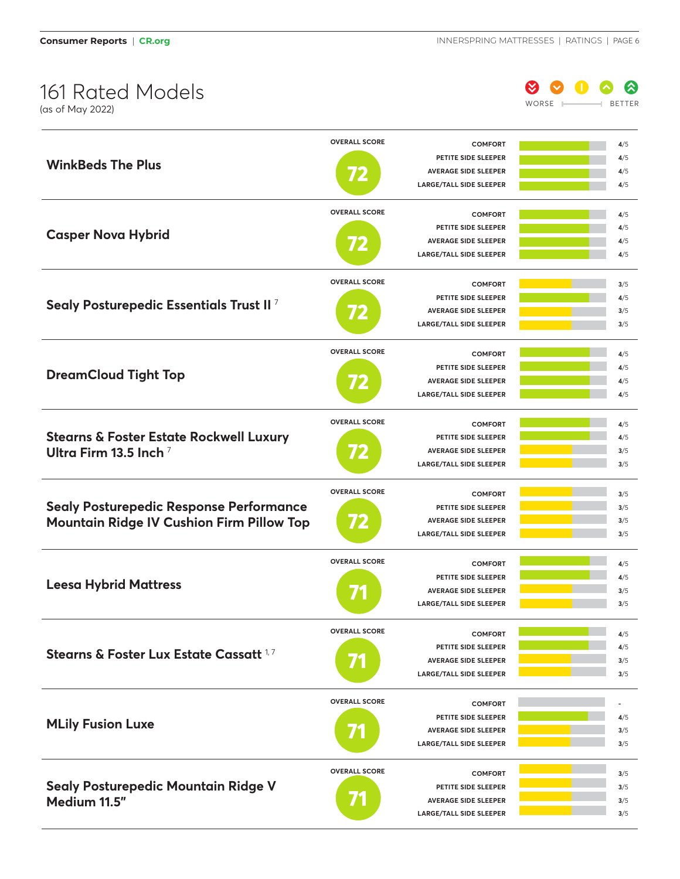

|                                                    | <b>OVERALL SCORE</b> | <b>COMFORT</b>                 | 4/5 |
|----------------------------------------------------|----------------------|--------------------------------|-----|
| <b>WinkBeds The Plus</b>                           |                      | PETITE SIDE SLEEPER            | 4/5 |
|                                                    |                      | <b>AVERAGE SIDE SLEEPER</b>    | 4/5 |
|                                                    |                      | <b>LARGE/TALL SIDE SLEEPER</b> | 4/5 |
|                                                    | <b>OVERALL SCORE</b> | <b>COMFORT</b>                 | 4/5 |
|                                                    |                      | PETITE SIDE SLEEPER            | 4/5 |
| <b>Casper Nova Hybrid</b>                          |                      | <b>AVERAGE SIDE SLEEPER</b>    | 4/5 |
|                                                    |                      | <b>LARGE/TALL SIDE SLEEPER</b> | 4/5 |
|                                                    |                      |                                |     |
|                                                    | <b>OVERALL SCORE</b> | <b>COMFORT</b>                 | 3/5 |
| Sealy Posturepedic Essentials Trust II?            |                      | PETITE SIDE SLEEPER            | 4/5 |
|                                                    | 72                   | <b>AVERAGE SIDE SLEEPER</b>    | 3/5 |
|                                                    |                      | <b>LARGE/TALL SIDE SLEEPER</b> | 3/5 |
|                                                    | <b>OVERALL SCORE</b> | <b>COMFORT</b>                 | 4/5 |
|                                                    |                      | PETITE SIDE SLEEPER            | 4/5 |
| <b>DreamCloud Tight Top</b>                        | 72                   | <b>AVERAGE SIDE SLEEPER</b>    | 4/5 |
|                                                    |                      | <b>LARGE/TALL SIDE SLEEPER</b> | 4/5 |
|                                                    |                      |                                |     |
|                                                    | <b>OVERALL SCORE</b> | <b>COMFORT</b>                 | 4/5 |
| <b>Stearns &amp; Foster Estate Rockwell Luxury</b> |                      | PETITE SIDE SLEEPER            | 4/5 |
| Ultra Firm 13.5 Inch $^7$                          | 72                   | <b>AVERAGE SIDE SLEEPER</b>    | 3/5 |
|                                                    |                      | <b>LARGE/TALL SIDE SLEEPER</b> | 3/5 |
|                                                    | <b>OVERALL SCORE</b> | <b>COMFORT</b>                 | 3/5 |
| <b>Sealy Posturepedic Response Performance</b>     |                      | PETITE SIDE SLEEPER            | 3/5 |
| <b>Mountain Ridge IV Cushion Firm Pillow Top</b>   | 72                   | <b>AVERAGE SIDE SLEEPER</b>    | 3/5 |
|                                                    |                      | <b>LARGE/TALL SIDE SLEEPER</b> | 3/5 |
|                                                    | <b>OVERALL SCORE</b> | <b>COMFORT</b>                 | 4/5 |
|                                                    |                      | PETITE SIDE SLEEPER            | 4/5 |
| <b>Leesa Hybrid Mattress</b>                       |                      | <b>AVERAGE SIDE SLEEPER</b>    | 3/5 |
|                                                    |                      | <b>LARGE/TALL SIDE SLEEPER</b> | 3/5 |
|                                                    | <b>OVERALL SCORE</b> |                                |     |
|                                                    |                      | <b>COMFORT</b>                 | 4/5 |
| Stearns & Foster Lux Estate Cassatt 1,7            |                      | PETITE SIDE SLEEPER            | 4/5 |
|                                                    |                      | <b>AVERAGE SIDE SLEEPER</b>    | 3/5 |
|                                                    |                      | <b>LARGE/TALL SIDE SLEEPER</b> | 3/5 |
|                                                    | <b>OVERALL SCORE</b> | <b>COMFORT</b>                 |     |
| <b>MLily Fusion Luxe</b>                           |                      | PETITE SIDE SLEEPER            | 4/5 |
|                                                    |                      | <b>AVERAGE SIDE SLEEPER</b>    | 3/5 |
|                                                    |                      | <b>LARGE/TALL SIDE SLEEPER</b> | 3/5 |
|                                                    | <b>OVERALL SCORE</b> | <b>COMFORT</b>                 | 3/5 |
| Sealy Posturepedic Mountain Ridge V                |                      | PETITE SIDE SLEEPER            | 3/5 |
| Medium 11.5"                                       |                      | <b>AVERAGE SIDE SLEEPER</b>    | 3/5 |
|                                                    |                      | <b>LARGE/TALL SIDE SLEEPER</b> | 3/5 |
|                                                    |                      |                                |     |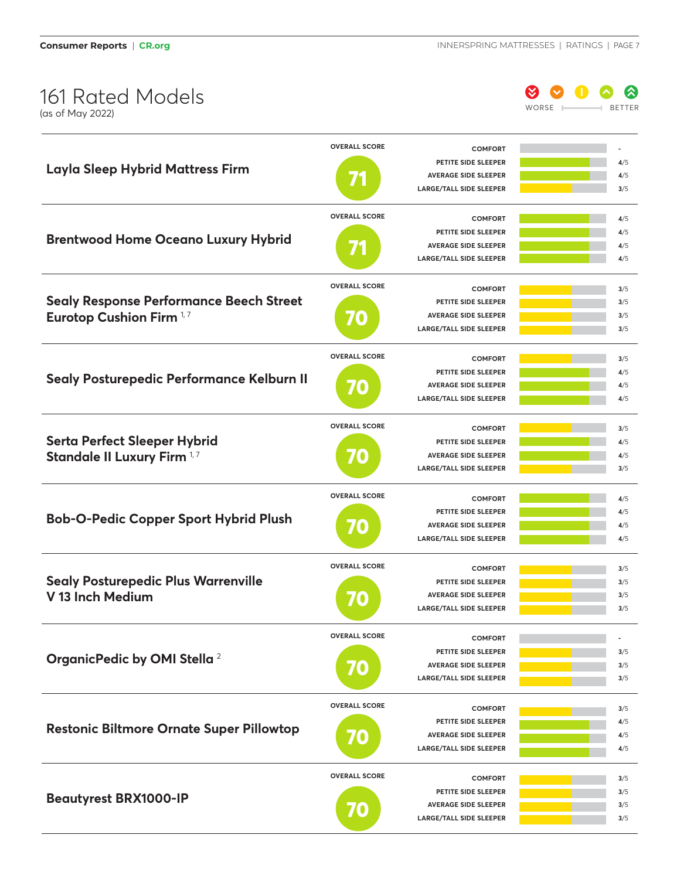(as of May 2022)

0 0 0 9 WORSE **BETTER** 

|                                                 | <b>OVERALL SCORE</b> | <b>COMFORT</b>                                         |               |
|-------------------------------------------------|----------------------|--------------------------------------------------------|---------------|
| <b>Layla Sleep Hybrid Mattress Firm</b>         |                      | PETITE SIDE SLEEPER                                    | 4/5           |
|                                                 |                      | <b>AVERAGE SIDE SLEEPER</b>                            | 4/5           |
|                                                 |                      | <b>LARGE/TALL SIDE SLEEPER</b>                         | 3/5           |
|                                                 | <b>OVERALL SCORE</b> | <b>COMFORT</b>                                         | 4/5           |
|                                                 |                      | PETITE SIDE SLEEPER                                    | 4/5           |
| <b>Brentwood Home Oceano Luxury Hybrid</b>      |                      | <b>AVERAGE SIDE SLEEPER</b>                            | 4/5           |
|                                                 |                      | <b>LARGE/TALL SIDE SLEEPER</b>                         | 4/5           |
|                                                 | <b>OVERALL SCORE</b> | <b>COMFORT</b>                                         | 3/5           |
| <b>Sealy Response Performance Beech Street</b>  |                      | PETITE SIDE SLEEPER                                    | 3/5           |
| <b>Eurotop Cushion Firm 1,7</b>                 |                      | <b>AVERAGE SIDE SLEEPER</b>                            | 3/5           |
|                                                 |                      | <b>LARGE/TALL SIDE SLEEPER</b>                         | 3/5           |
|                                                 | <b>OVERALL SCORE</b> |                                                        |               |
|                                                 |                      | <b>COMFORT</b>                                         | 3/5           |
| Sealy Posturepedic Performance Kelburn II       |                      | PETITE SIDE SLEEPER                                    | 4/5           |
|                                                 | 70                   | <b>AVERAGE SIDE SLEEPER</b>                            | 4/5           |
|                                                 |                      | <b>LARGE/TALL SIDE SLEEPER</b>                         | 4/5           |
|                                                 | <b>OVERALL SCORE</b> | <b>COMFORT</b>                                         | 3/5           |
| <b>Serta Perfect Sleeper Hybrid</b>             |                      | PETITE SIDE SLEEPER                                    | 4/5           |
| Standale II Luxury Firm 1,7                     | 40                   | <b>AVERAGE SIDE SLEEPER</b>                            | 4/5           |
|                                                 |                      | <b>LARGE/TALL SIDE SLEEPER</b>                         | 3/5           |
|                                                 |                      |                                                        |               |
|                                                 |                      |                                                        |               |
|                                                 | <b>OVERALL SCORE</b> | <b>COMFORT</b>                                         | 4/5           |
|                                                 |                      | PETITE SIDE SLEEPER                                    | 4/5           |
| <b>Bob-O-Pedic Copper Sport Hybrid Plush</b>    | 0                    | <b>AVERAGE SIDE SLEEPER</b>                            | 4/5           |
|                                                 |                      | <b>LARGE/TALL SIDE SLEEPER</b>                         | 4/5           |
|                                                 | <b>OVERALL SCORE</b> | <b>COMFORT</b>                                         | 3/5           |
|                                                 |                      | PETITE SIDE SLEEPER                                    | 3/5           |
| <b>Sealy Posturepedic Plus Warrenville</b>      |                      | <b>AVERAGE SIDE SLEEPER</b>                            | 3/5           |
| V 13 Inch Medium                                | 0)                   | <b>LARGE/TALL SIDE SLEEPER</b>                         | 3/5           |
|                                                 |                      |                                                        |               |
|                                                 | <b>OVERALL SCORE</b> | <b>COMFORT</b>                                         | $\frac{1}{2}$ |
|                                                 |                      | PETITE SIDE SLEEPER                                    | 3/5           |
| OrganicPedic by OMI Stella <sup>2</sup>         | 0                    | <b>AVERAGE SIDE SLEEPER</b>                            | 3/5           |
|                                                 |                      | LARGE/TALL SIDE SLEEPER                                | 3/5           |
|                                                 | <b>OVERALL SCORE</b> | <b>COMFORT</b>                                         | 3/5           |
|                                                 |                      | PETITE SIDE SLEEPER                                    | 4/5           |
| <b>Restonic Biltmore Ornate Super Pillowtop</b> |                      | <b>AVERAGE SIDE SLEEPER</b>                            | 4/5           |
|                                                 | 0                    | <b>LARGE/TALL SIDE SLEEPER</b>                         | 4/5           |
|                                                 |                      |                                                        |               |
|                                                 | <b>OVERALL SCORE</b> | <b>COMFORT</b>                                         | 3/5           |
|                                                 |                      | PETITE SIDE SLEEPER                                    | 3/5           |
| <b>Beautyrest BRX1000-IP</b>                    | <b>ZO</b>            | <b>AVERAGE SIDE SLEEPER</b><br>LARGE/TALL SIDE SLEEPER | 3/5<br>3/5    |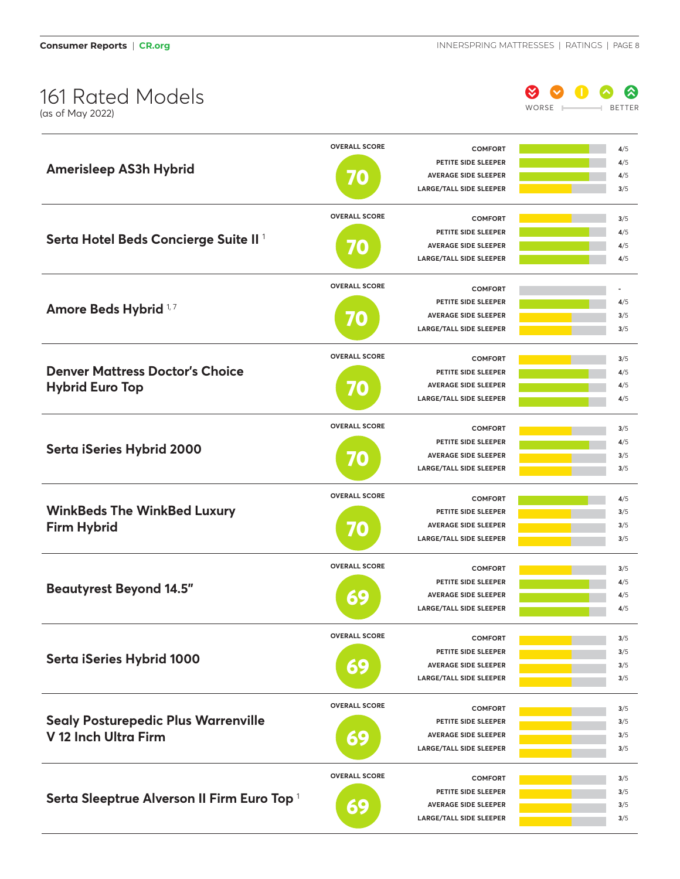(as of May 2022)

0 0 0 9 9 WORSE **BETTER** 

|                                                  | <b>OVERALL SCORE</b> | <b>COMFORT</b>                 | 4/5 |
|--------------------------------------------------|----------------------|--------------------------------|-----|
|                                                  |                      | PETITE SIDE SLEEPER            | 4/5 |
| <b>Amerisleep AS3h Hybrid</b>                    | $\bullet$            | <b>AVERAGE SIDE SLEEPER</b>    | 4/5 |
|                                                  |                      | <b>LARGE/TALL SIDE SLEEPER</b> | 3/5 |
|                                                  | <b>OVERALL SCORE</b> | <b>COMFORT</b>                 | 3/5 |
|                                                  |                      | PETITE SIDE SLEEPER            | 4/5 |
| Serta Hotel Beds Concierge Suite II <sup>1</sup> |                      | <b>AVERAGE SIDE SLEEPER</b>    | 4/5 |
|                                                  | 0                    | <b>LARGE/TALL SIDE SLEEPER</b> | 4/5 |
|                                                  |                      |                                |     |
|                                                  | <b>OVERALL SCORE</b> | <b>COMFORT</b>                 |     |
| <b>Amore Beds Hybrid</b> <sup>1,7</sup>          |                      | PETITE SIDE SLEEPER            | 4/5 |
|                                                  | 0                    | <b>AVERAGE SIDE SLEEPER</b>    | 3/5 |
|                                                  |                      | <b>LARGE/TALL SIDE SLEEPER</b> | 3/5 |
|                                                  | <b>OVERALL SCORE</b> | <b>COMFORT</b>                 | 3/5 |
| <b>Denver Mattress Doctor's Choice</b>           |                      | PETITE SIDE SLEEPER            | 4/5 |
| <b>Hybrid Euro Top</b>                           | 40                   | <b>AVERAGE SIDE SLEEPER</b>    | 4/5 |
|                                                  |                      | <b>LARGE/TALL SIDE SLEEPER</b> | 4/5 |
|                                                  |                      |                                |     |
|                                                  | <b>OVERALL SCORE</b> | <b>COMFORT</b>                 | 3/5 |
|                                                  |                      | PETITE SIDE SLEEPER            | 4/5 |
| Serta iSeries Hybrid 2000                        | <b>ZO</b>            | <b>AVERAGE SIDE SLEEPER</b>    | 3/5 |
|                                                  |                      | <b>LARGE/TALL SIDE SLEEPER</b> | 3/5 |
|                                                  | <b>OVERALL SCORE</b> | <b>COMFORT</b>                 | 4/5 |
| <b>WinkBeds The WinkBed Luxury</b>               |                      | PETITE SIDE SLEEPER            | 3/5 |
| <b>Firm Hybrid</b>                               |                      | <b>AVERAGE SIDE SLEEPER</b>    | 3/5 |
|                                                  | 70                   | <b>LARGE/TALL SIDE SLEEPER</b> | 3/5 |
|                                                  |                      |                                |     |
|                                                  | <b>OVERALL SCORE</b> | <b>COMFORT</b>                 | 3/5 |
|                                                  |                      | PETITE SIDE SLEEPER            | 4/5 |
| <b>Beautyrest Beyond 14.5"</b>                   | 69                   | <b>AVERAGE SIDE SLEEPER</b>    | 4/5 |
|                                                  |                      | <b>LARGE/TALL SIDE SLEEPER</b> | 4/5 |
|                                                  | <b>OVERALL SCORE</b> | <b>COMFORT</b>                 | 3/5 |
|                                                  |                      | PETITE SIDE SLEEPER            | 3/5 |
| Serta iSeries Hybrid 1000                        |                      | <b>AVERAGE SIDE SLEEPER</b>    | 3/5 |
|                                                  | 69                   | LARGE/TALL SIDE SLEEPER        | 3/5 |
|                                                  |                      |                                |     |
|                                                  | <b>OVERALL SCORE</b> | <b>COMFORT</b>                 | 3/5 |
| <b>Sealy Posturepedic Plus Warrenville</b>       |                      | PETITE SIDE SLEEPER            | 3/5 |
| V 12 Inch Ultra Firm                             | 69                   | <b>AVERAGE SIDE SLEEPER</b>    | 3/5 |
|                                                  |                      | LARGE/TALL SIDE SLEEPER        | 3/5 |
|                                                  | <b>OVERALL SCORE</b> | <b>COMFORT</b>                 | 3/5 |
|                                                  |                      | PETITE SIDE SLEEPER            | 3/5 |
| Serta Sleeptrue Alverson II Firm Euro Top 1      | 69                   | <b>AVERAGE SIDE SLEEPER</b>    | 3/5 |
|                                                  |                      | LARGE/TALL SIDE SLEEPER        | 3/5 |
|                                                  |                      |                                |     |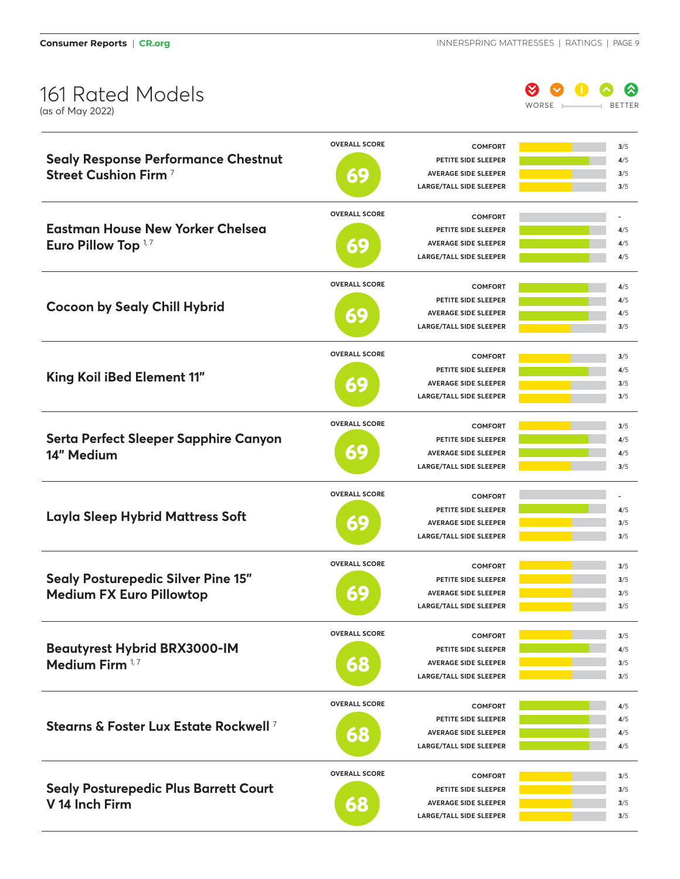

|                                                   | <b>OVERALL SCORE</b> | <b>COMFORT</b>                                                | 3/5        |
|---------------------------------------------------|----------------------|---------------------------------------------------------------|------------|
| <b>Sealy Response Performance Chestnut</b>        |                      | PETITE SIDE SLEEPER                                           | 4/5        |
| Street Cushion Firm <sup>7</sup>                  | 69                   | <b>AVERAGE SIDE SLEEPER</b>                                   | 3/5        |
|                                                   |                      | <b>LARGE/TALL SIDE SLEEPER</b>                                | 3/5        |
|                                                   | <b>OVERALL SCORE</b> | <b>COMFORT</b>                                                |            |
| <b>Eastman House New Yorker Chelsea</b>           |                      | PETITE SIDE SLEEPER                                           | 4/5        |
| Euro Pillow Top <sup>1,7</sup>                    | 69                   | <b>AVERAGE SIDE SLEEPER</b>                                   | 4/5        |
|                                                   |                      | <b>LARGE/TALL SIDE SLEEPER</b>                                | 4/5        |
|                                                   | <b>OVERALL SCORE</b> | <b>COMFORT</b>                                                | 4/5        |
|                                                   |                      | PETITE SIDE SLEEPER                                           | 4/5        |
| <b>Cocoon by Sealy Chill Hybrid</b>               |                      | <b>AVERAGE SIDE SLEEPER</b>                                   | 4/5        |
|                                                   | 69                   | <b>LARGE/TALL SIDE SLEEPER</b>                                | 3/5        |
|                                                   |                      |                                                               |            |
|                                                   | <b>OVERALL SCORE</b> | <b>COMFORT</b>                                                | 3/5        |
| King Koil iBed Element 11"                        |                      | PETITE SIDE SLEEPER                                           | 4/5        |
|                                                   | 69                   | <b>AVERAGE SIDE SLEEPER</b>                                   | 3/5        |
|                                                   |                      | <b>LARGE/TALL SIDE SLEEPER</b>                                | 3/5        |
|                                                   | <b>OVERALL SCORE</b> | <b>COMFORT</b>                                                | 3/5        |
| Serta Perfect Sleeper Sapphire Canyon             |                      | PETITE SIDE SLEEPER                                           | 4/5        |
| 14" Medium                                        | 69                   | <b>AVERAGE SIDE SLEEPER</b>                                   | 4/5        |
|                                                   |                      | <b>LARGE/TALL SIDE SLEEPER</b>                                | 3/5        |
|                                                   | <b>OVERALL SCORE</b> | <b>COMFORT</b>                                                |            |
|                                                   |                      | PETITE SIDE SLEEPER                                           | 4/5        |
| <b>Layla Sleep Hybrid Mattress Soft</b>           | 69                   | <b>AVERAGE SIDE SLEEPER</b>                                   | 3/5        |
|                                                   |                      | <b>LARGE/TALL SIDE SLEEPER</b>                                | 3/5        |
|                                                   |                      |                                                               |            |
|                                                   | <b>OVERALL SCORE</b> | <b>COMFORT</b>                                                | 3/5        |
| <b>Sealy Posturepedic Silver Pine 15"</b>         |                      | PETITE SIDE SLEEPER                                           | 3/5        |
| <b>Medium FX Euro Pillowtop</b>                   | 69                   | <b>AVERAGE SIDE SLEEPER</b>                                   | 3/5        |
|                                                   |                      | <b>LARGE/TALL SIDE SLEEPER</b>                                | 3/5        |
|                                                   | <b>OVERALL SCORE</b> | <b>COMFORT</b>                                                | 3/5        |
| <b>Beautyrest Hybrid BRX3000-IM</b>               |                      | PETITE SIDE SLEEPER                                           | 4/5        |
| Medium Firm 1,7                                   | 68                   | <b>AVERAGE SIDE SLEEPER</b>                                   | 3/5        |
|                                                   |                      | <b>LARGE/TALL SIDE SLEEPER</b>                                | 3/5        |
|                                                   | <b>OVERALL SCORE</b> | <b>COMFORT</b>                                                | 4/5        |
|                                                   |                      | PETITE SIDE SLEEPER                                           | 4/5        |
| Stearns & Foster Lux Estate Rockwell <sup>7</sup> |                      | <b>AVERAGE SIDE SLEEPER</b>                                   | 4/5        |
|                                                   |                      |                                                               |            |
|                                                   | 68                   | <b>LARGE/TALL SIDE SLEEPER</b>                                | 4/5        |
|                                                   |                      |                                                               |            |
|                                                   | <b>OVERALL SCORE</b> | <b>COMFORT</b>                                                | 3/5        |
| <b>Sealy Posturepedic Plus Barrett Court</b>      |                      | PETITE SIDE SLEEPER                                           | 3/5        |
| V 14 Inch Firm                                    | 68                   | <b>AVERAGE SIDE SLEEPER</b><br><b>LARGE/TALL SIDE SLEEPER</b> | 3/5<br>3/5 |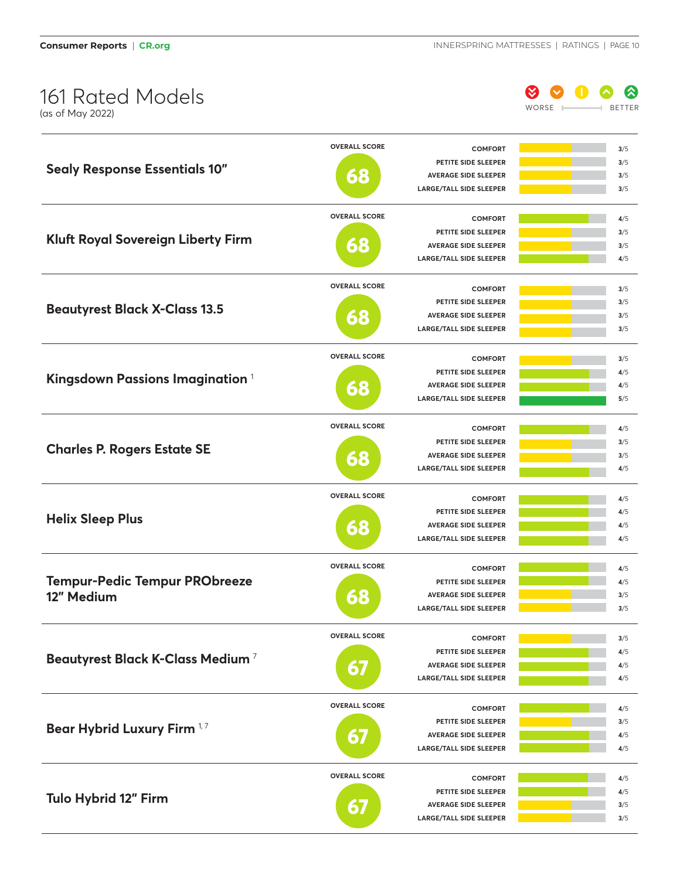(as of May 2022)

0 0 0 0 0 WORSE **BETTER** 

|                                              | <b>OVERALL SCORE</b> | <b>COMFORT</b>                                                | 3/5        |
|----------------------------------------------|----------------------|---------------------------------------------------------------|------------|
| <b>Sealy Response Essentials 10"</b>         |                      | PETITE SIDE SLEEPER                                           | 3/5        |
|                                              | 68                   | <b>AVERAGE SIDE SLEEPER</b>                                   | 3/5        |
|                                              |                      | <b>LARGE/TALL SIDE SLEEPER</b>                                | 3/5        |
|                                              | <b>OVERALL SCORE</b> | <b>COMFORT</b>                                                | 4/5        |
|                                              |                      | PETITE SIDE SLEEPER                                           | 3/5        |
| <b>Kluft Royal Sovereign Liberty Firm</b>    | 68                   | <b>AVERAGE SIDE SLEEPER</b>                                   | 3/5        |
|                                              |                      | <b>LARGE/TALL SIDE SLEEPER</b>                                | 4/5        |
|                                              | <b>OVERALL SCORE</b> | <b>COMFORT</b>                                                | 3/5        |
|                                              |                      | PETITE SIDE SLEEPER                                           | 3/5        |
| <b>Beautyrest Black X-Class 13.5</b>         |                      | <b>AVERAGE SIDE SLEEPER</b>                                   | 3/5        |
|                                              | 68                   | <b>LARGE/TALL SIDE SLEEPER</b>                                | 3/5        |
|                                              |                      |                                                               |            |
|                                              | <b>OVERALL SCORE</b> | <b>COMFORT</b>                                                | 3/5        |
| Kingsdown Passions Imagination <sup>1</sup>  |                      | PETITE SIDE SLEEPER                                           | 4/5        |
|                                              | 68                   | <b>AVERAGE SIDE SLEEPER</b>                                   | 4/5        |
|                                              |                      | <b>LARGE/TALL SIDE SLEEPER</b>                                | 5/5        |
|                                              | <b>OVERALL SCORE</b> | <b>COMFORT</b>                                                | 4/5        |
|                                              |                      | PETITE SIDE SLEEPER                                           | 3/5        |
| <b>Charles P. Rogers Estate SE</b>           | 68                   | <b>AVERAGE SIDE SLEEPER</b>                                   | 3/5        |
|                                              |                      | <b>LARGE/TALL SIDE SLEEPER</b>                                | 4/5        |
|                                              | <b>OVERALL SCORE</b> | <b>COMFORT</b>                                                | 4/5        |
|                                              |                      | PETITE SIDE SLEEPER                                           | 4/5        |
| <b>Helix Sleep Plus</b>                      | 68                   | <b>AVERAGE SIDE SLEEPER</b>                                   | 4/5        |
|                                              |                      | LARGE/TALL SIDE SLEEPER                                       | 4/5        |
|                                              | <b>OVERALL SCORE</b> |                                                               |            |
|                                              |                      | <b>COMFORT</b>                                                | 4/5        |
| <b>Tempur-Pedic Tempur PRObreeze</b>         |                      | PETITE SIDE SLEEPER<br><b>AVERAGE SIDE SLEEPER</b>            | 4/5        |
| 12" Medium                                   | 68                   | <b>LARGE/TALL SIDE SLEEPER</b>                                | 3/5<br>3/5 |
|                                              |                      |                                                               |            |
|                                              | <b>OVERALL SCORE</b> | <b>COMFORT</b>                                                | 3/5        |
| Beautyrest Black K-Class Medium <sup>7</sup> |                      | PETITE SIDE SLEEPER                                           | 4/5        |
|                                              | 67                   | <b>AVERAGE SIDE SLEEPER</b>                                   | 4/5        |
|                                              |                      | <b>LARGE/TALL SIDE SLEEPER</b>                                | 4/5        |
|                                              | <b>OVERALL SCORE</b> | <b>COMFORT</b>                                                | 4/5        |
|                                              |                      | PETITE SIDE SLEEPER                                           | 3/5        |
| Bear Hybrid Luxury Firm 1,7                  | 67                   | <b>AVERAGE SIDE SLEEPER</b>                                   | 4/5        |
|                                              |                      | LARGE/TALL SIDE SLEEPER                                       | 4/5        |
|                                              |                      |                                                               |            |
|                                              |                      |                                                               |            |
|                                              | <b>OVERALL SCORE</b> | <b>COMFORT</b>                                                | 4/5        |
| Tulo Hybrid 12" Firm                         |                      | PETITE SIDE SLEEPER                                           | 4/5        |
|                                              | 67                   | <b>AVERAGE SIDE SLEEPER</b><br><b>LARGE/TALL SIDE SLEEPER</b> | 3/5<br>3/5 |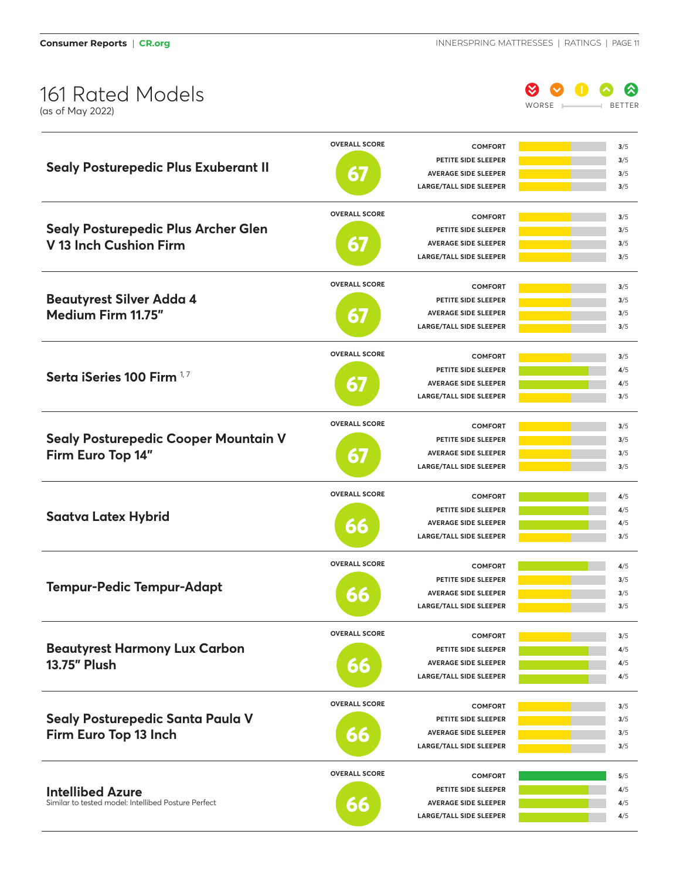

|                                                                                | <b>OVERALL SCORE</b> | <b>COMFORT</b>                                     | 3/5        |
|--------------------------------------------------------------------------------|----------------------|----------------------------------------------------|------------|
|                                                                                |                      | PETITE SIDE SLEEPER                                | 3/5        |
| <b>Sealy Posturepedic Plus Exuberant II</b>                                    | 67                   | <b>AVERAGE SIDE SLEEPER</b>                        | 3/5        |
|                                                                                |                      | <b>LARGE/TALL SIDE SLEEPER</b>                     | 3/5        |
|                                                                                | <b>OVERALL SCORE</b> |                                                    |            |
| <b>Sealy Posturepedic Plus Archer Glen</b>                                     |                      | <b>COMFORT</b>                                     | 3/5        |
|                                                                                |                      | PETITE SIDE SLEEPER<br><b>AVERAGE SIDE SLEEPER</b> | 3/5<br>3/5 |
| V 13 Inch Cushion Firm                                                         | 67                   | <b>LARGE/TALL SIDE SLEEPER</b>                     | 3/5        |
|                                                                                |                      |                                                    |            |
|                                                                                | <b>OVERALL SCORE</b> | <b>COMFORT</b>                                     | 3/5        |
| <b>Beautyrest Silver Adda 4</b>                                                |                      | PETITE SIDE SLEEPER                                | 3/5        |
| Medium Firm 11.75"                                                             | 67                   | <b>AVERAGE SIDE SLEEPER</b>                        | 3/5        |
|                                                                                |                      | <b>LARGE/TALL SIDE SLEEPER</b>                     | 3/5        |
|                                                                                | <b>OVERALL SCORE</b> | <b>COMFORT</b>                                     | 3/5        |
|                                                                                |                      | PETITE SIDE SLEEPER                                | 4/5        |
| Serta iSeries 100 Firm 17                                                      | $\mathbf{\Omega}$    | <b>AVERAGE SIDE SLEEPER</b>                        | 4/5        |
|                                                                                |                      | <b>LARGE/TALL SIDE SLEEPER</b>                     | 3/5        |
|                                                                                |                      |                                                    |            |
|                                                                                | <b>OVERALL SCORE</b> | <b>COMFORT</b>                                     | 3/5        |
| Sealy Posturepedic Cooper Mountain V                                           |                      | PETITE SIDE SLEEPER                                | 3/5        |
|                                                                                | 67                   | <b>AVERAGE SIDE SLEEPER</b>                        | 3/5        |
| Firm Euro Top 14"                                                              |                      | <b>LARGE/TALL SIDE SLEEPER</b>                     | 3/5        |
|                                                                                |                      |                                                    |            |
|                                                                                | <b>OVERALL SCORE</b> |                                                    |            |
|                                                                                |                      | <b>COMFORT</b>                                     | 4/5        |
| <b>Saatva Latex Hybrid</b>                                                     |                      | PETITE SIDE SLEEPER                                | 4/5        |
|                                                                                | 66                   | <b>AVERAGE SIDE SLEEPER</b>                        | 4/5        |
|                                                                                |                      | <b>LARGE/TALL SIDE SLEEPER</b>                     | 3/5        |
|                                                                                | <b>OVERALL SCORE</b> | <b>COMFORT</b>                                     | 4/5        |
|                                                                                |                      | PETITE SIDE SLEEPER                                | 3/5        |
| <b>Tempur-Pedic Tempur-Adapt</b>                                               |                      | <b>AVERAGE SIDE SLEEPER</b>                        | 3/5        |
|                                                                                | 66                   | <b>LARGE/TALL SIDE SLEEPER</b>                     | 3/5        |
|                                                                                |                      |                                                    |            |
|                                                                                | <b>OVERALL SCORE</b> | <b>COMFORT</b>                                     | 3/5        |
| <b>Beautyrest Harmony Lux Carbon</b>                                           |                      | PETITE SIDE SLEEPER                                | 4/5        |
| 13.75" Plush                                                                   | 66                   | <b>AVERAGE SIDE SLEEPER</b>                        | 4/5        |
|                                                                                |                      | <b>LARGE/TALL SIDE SLEEPER</b>                     | 4/5        |
|                                                                                | <b>OVERALL SCORE</b> | <b>COMFORT</b>                                     | 3/5        |
| Sealy Posturepedic Santa Paula V                                               |                      | PETITE SIDE SLEEPER                                | 3/5        |
| Firm Euro Top 13 Inch                                                          | 66                   | <b>AVERAGE SIDE SLEEPER</b>                        | 3/5        |
|                                                                                |                      | <b>LARGE/TALL SIDE SLEEPER</b>                     | 3/5        |
|                                                                                | <b>OVERALL SCORE</b> | <b>COMFORT</b>                                     | 5/5        |
|                                                                                |                      | PETITE SIDE SLEEPER                                |            |
| <b>Intellibed Azure</b><br>Similar to tested model: Intellibed Posture Perfect |                      | <b>AVERAGE SIDE SLEEPER</b>                        | 4/5<br>4/5 |
|                                                                                | 66                   | <b>LARGE/TALL SIDE SLEEPER</b>                     | 4/5        |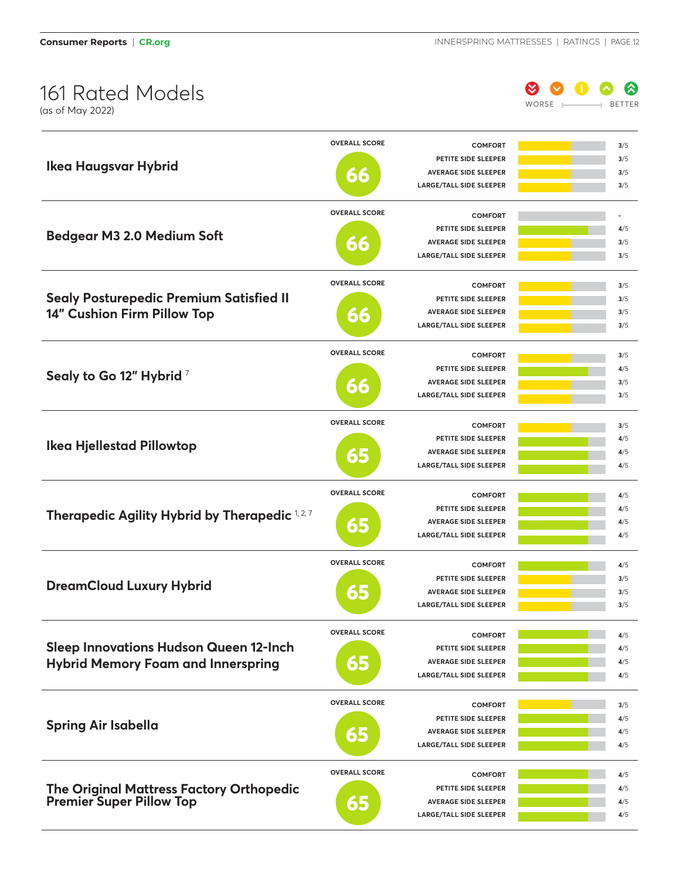**Consumer Reports | CR.org INNERSPRING MATTRESSES | RATINGS | PAGE 12** 

# 161 Rated Models



|                                                | <b>OVERALL SCORE</b>  | <b>COMFORT</b>                 | 3/5 |
|------------------------------------------------|-----------------------|--------------------------------|-----|
|                                                |                       | PETITE SIDE SLEEPER            | 3/5 |
| <b>Ikea Haugsvar Hybrid</b>                    | 66                    | <b>AVERAGE SIDE SLEEPER</b>    | 3/5 |
|                                                |                       | <b>LARGE/TALL SIDE SLEEPER</b> | 3/5 |
|                                                |                       |                                |     |
|                                                | <b>OVERALL SCORE</b>  | <b>COMFORT</b>                 |     |
| <b>Bedgear M3 2.0 Medium Soft</b>              |                       | PETITE SIDE SLEEPER            | 4/5 |
|                                                | 66                    | <b>AVERAGE SIDE SLEEPER</b>    | 3/5 |
|                                                |                       | <b>LARGE/TALL SIDE SLEEPER</b> | 3/5 |
|                                                | <b>OVERALL SCORE</b>  | <b>COMFORT</b>                 | 3/5 |
| <b>Sealy Posturepedic Premium Satisfied II</b> |                       | PETITE SIDE SLEEPER            | 3/5 |
| 14" Cushion Firm Pillow Top                    |                       | <b>AVERAGE SIDE SLEEPER</b>    | 3/5 |
|                                                | 66                    | <b>LARGE/TALL SIDE SLEEPER</b> | 3/5 |
|                                                |                       |                                |     |
|                                                | <b>OVERALL SCORE</b>  | <b>COMFORT</b>                 | 3/5 |
| Sealy to Go 12" Hybrid 7                       |                       | PETITE SIDE SLEEPER            | 4/5 |
|                                                | 66                    | <b>AVERAGE SIDE SLEEPER</b>    | 3/5 |
|                                                |                       | <b>LARGE/TALL SIDE SLEEPER</b> | 3/5 |
|                                                | <b>OVERALL SCORE</b>  | <b>COMFORT</b>                 | 3/5 |
|                                                |                       | PETITE SIDE SLEEPER            | 4/5 |
| <b>Ikea Hjellestad Pillowtop</b>               |                       | <b>AVERAGE SIDE SLEEPER</b>    | 4/5 |
|                                                | 65                    | <b>LARGE/TALL SIDE SLEEPER</b> | 4/5 |
|                                                |                       |                                |     |
|                                                | <b>OVERALL SCORE</b>  | <b>COMFORT</b>                 | 4/5 |
|                                                |                       | PETITE SIDE SLEEPER            | 4/5 |
| Therapedic Agility Hybrid by Therapedic 1,2,7  | 65                    | <b>AVERAGE SIDE SLEEPER</b>    | 4/5 |
|                                                |                       | <b>LARGE/TALL SIDE SLEEPER</b> | 4/5 |
|                                                | <b>OVERALL SCORE</b>  |                                |     |
|                                                |                       | <b>COMFORT</b>                 | 4/5 |
| <b>DreamCloud Luxury Hybrid</b>                |                       | PETITE SIDE SLEEPER            | 3/5 |
|                                                | 65                    | <b>AVERAGE SIDE SLEEPER</b>    | 3/5 |
|                                                |                       | <b>LARGE/TALL SIDE SLEEPER</b> | 3/5 |
|                                                | <b>OVERALL SCORE</b>  | <b>COMFORT</b>                 | 4/5 |
| <b>Sleep Innovations Hudson Queen 12-Inch</b>  |                       | PETITE SIDE SLEEPER            | 4/5 |
| <b>Hybrid Memory Foam and Innerspring</b>      | $\mathbf{E}$          | <b>AVERAGE SIDE SLEEPER</b>    | 4/5 |
|                                                |                       | <b>LARGE/TALL SIDE SLEEPER</b> | 4/5 |
|                                                |                       |                                |     |
|                                                | <b>OVERALL SCORE</b>  | <b>COMFORT</b>                 | 3/5 |
| <b>Spring Air Isabella</b>                     |                       | PETITE SIDE SLEEPER            | 4/5 |
|                                                | $\bullet$ ) $\bullet$ | <b>AVERAGE SIDE SLEEPER</b>    | 4/5 |
|                                                |                       | <b>LARGE/TALL SIDE SLEEPER</b> | 4/5 |
|                                                | <b>OVERALL SCORE</b>  | <b>COMFORT</b>                 | 4/5 |
| The Original Mattress Factory Orthopedic       |                       | PETITE SIDE SLEEPER            | 4/5 |
| <b>Premier Super Pillow Top</b>                |                       | <b>AVERAGE SIDE SLEEPER</b>    | 4/5 |
|                                                | 65                    | <b>LARGE/TALL SIDE SLEEPER</b> | 4/5 |
|                                                |                       |                                |     |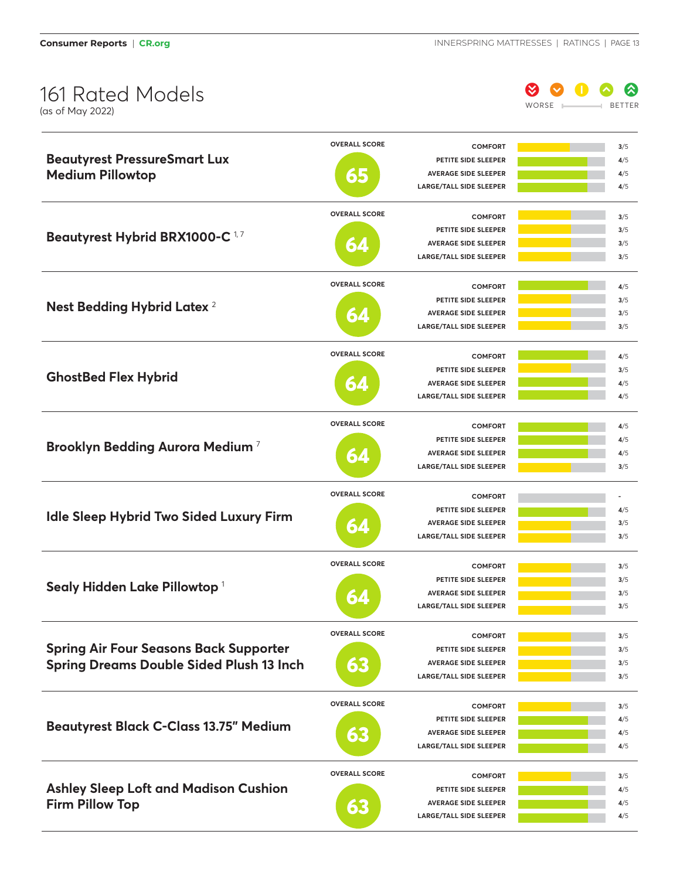

| <b>Beautyrest PressureSmart Lux</b>             | <b>OVERALL SCORE</b> | <b>COMFORT</b>                 | 3/5        |
|-------------------------------------------------|----------------------|--------------------------------|------------|
|                                                 |                      | PETITE SIDE SLEEPER            | 4/5        |
| <b>Medium Pillowtop</b>                         | $\mathbf{E}$         | <b>AVERAGE SIDE SLEEPER</b>    | 4/5        |
|                                                 |                      | <b>LARGE/TALL SIDE SLEEPER</b> | 4/5        |
| Beautyrest Hybrid BRX1000-C <sup>17</sup>       | <b>OVERALL SCORE</b> | <b>COMFORT</b>                 | 3/5        |
|                                                 |                      | PETITE SIDE SLEEPER            | 3/5        |
|                                                 |                      | <b>AVERAGE SIDE SLEEPER</b>    | 3/5        |
|                                                 | 6Z                   | <b>LARGE/TALL SIDE SLEEPER</b> | 3/5        |
|                                                 | <b>OVERALL SCORE</b> |                                |            |
|                                                 |                      | <b>COMFORT</b>                 | 4/5        |
| Nest Bedding Hybrid Latex <sup>2</sup>          |                      | PETITE SIDE SLEEPER            | 3/5        |
|                                                 | 64                   | <b>AVERAGE SIDE SLEEPER</b>    | 3/5        |
|                                                 |                      | <b>LARGE/TALL SIDE SLEEPER</b> | 3/5        |
|                                                 | <b>OVERALL SCORE</b> | <b>COMFORT</b>                 | 4/5        |
|                                                 |                      | PETITE SIDE SLEEPER            | 3/5        |
| <b>GhostBed Flex Hybrid</b>                     | 64                   | <b>AVERAGE SIDE SLEEPER</b>    | 4/5        |
|                                                 |                      | <b>LARGE/TALL SIDE SLEEPER</b> | 4/5        |
|                                                 | <b>OVERALL SCORE</b> | <b>COMFORT</b>                 | 4/5        |
|                                                 |                      | PETITE SIDE SLEEPER            | 4/5        |
| Brooklyn Bedding Aurora Medium <sup>7</sup>     | 64                   | <b>AVERAGE SIDE SLEEPER</b>    | 4/5        |
|                                                 |                      | <b>LARGE/TALL SIDE SLEEPER</b> | 3/5        |
|                                                 |                      |                                |            |
|                                                 | <b>OVERALL SCORE</b> | <b>COMFORT</b>                 |            |
| Idle Sleep Hybrid Two Sided Luxury Firm         |                      | PETITE SIDE SLEEPER            | 4/5        |
|                                                 | 64                   | <b>AVERAGE SIDE SLEEPER</b>    | 3/5        |
|                                                 |                      | <b>LARGE/TALL SIDE SLEEPER</b> | 3/5        |
|                                                 | <b>OVERALL SCORE</b> | <b>COMFORT</b>                 | 3/5        |
|                                                 |                      | PETITE SIDE SLEEPER            | 3/5        |
| Sealy Hidden Lake Pillowtop <sup>1</sup>        | 64                   | <b>AVERAGE SIDE SLEEPER</b>    | 3/5        |
|                                                 |                      | <b>LARGE/TALL SIDE SLEEPER</b> | 3/5        |
|                                                 | <b>OVERALL SCORE</b> | <b>COMFORT</b>                 |            |
| <b>Spring Air Four Seasons Back Supporter</b>   |                      | PETITE SIDE SLEEPER            | 3/5<br>3/5 |
|                                                 | 53                   | <b>AVERAGE SIDE SLEEPER</b>    |            |
| <b>Spring Dreams Double Sided Plush 13 Inch</b> |                      | LARGE/TALL SIDE SLEEPER        | 3/5<br>3/5 |
|                                                 |                      |                                |            |
|                                                 | <b>OVERALL SCORE</b> | <b>COMFORT</b>                 | 3/5        |
| <b>Beautyrest Black C-Class 13.75" Medium</b>   |                      | PETITE SIDE SLEEPER            | 4/5        |
|                                                 | 63                   | <b>AVERAGE SIDE SLEEPER</b>    | 4/5        |
|                                                 |                      | <b>LARGE/TALL SIDE SLEEPER</b> | 4/5        |
|                                                 | <b>OVERALL SCORE</b> | <b>COMFORT</b>                 | 3/5        |
| <b>Ashley Sleep Loft and Madison Cushion</b>    |                      | PETITE SIDE SLEEPER            | 4/5        |
| <b>Firm Pillow Top</b>                          | 63                   | <b>AVERAGE SIDE SLEEPER</b>    | 4/5        |
|                                                 |                      | LARGE/TALL SIDE SLEEPER        | 4/5        |
|                                                 |                      |                                |            |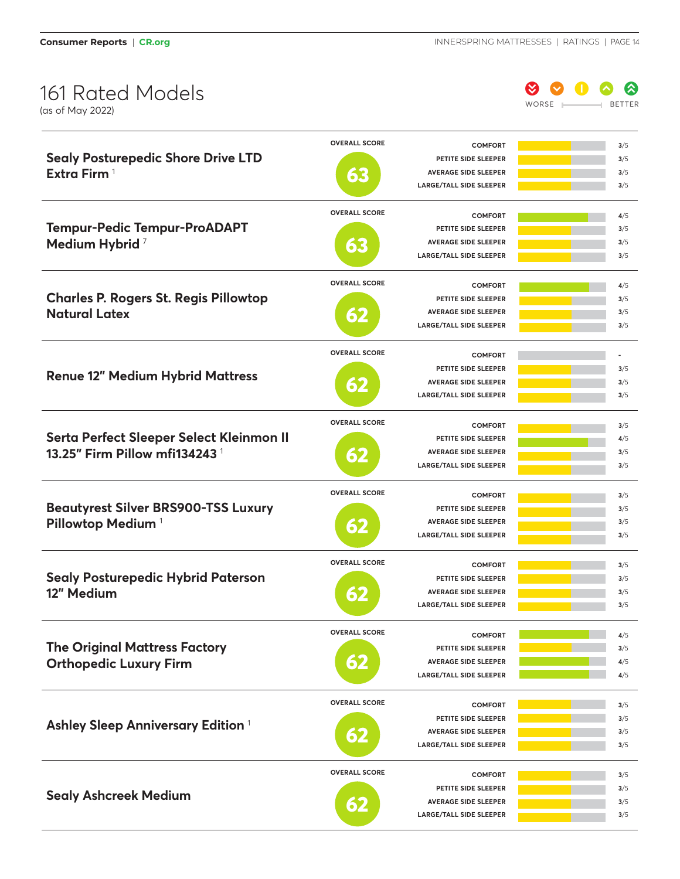

|                                               | <b>OVERALL SCORE</b> | <b>COMFORT</b>                 | 3/5        |
|-----------------------------------------------|----------------------|--------------------------------|------------|
| <b>Sealy Posturepedic Shore Drive LTD</b>     |                      | PETITE SIDE SLEEPER            | 3/5        |
| Extra Firm <sup>1</sup>                       | ōЕ                   | <b>AVERAGE SIDE SLEEPER</b>    | 3/5        |
|                                               |                      | <b>LARGE/TALL SIDE SLEEPER</b> | 3/5        |
|                                               | <b>OVERALL SCORE</b> | <b>COMFORT</b>                 |            |
| <b>Tempur-Pedic Tempur-ProADAPT</b>           |                      | PETITE SIDE SLEEPER            | 4/5<br>3/5 |
|                                               |                      | <b>AVERAGE SIDE SLEEPER</b>    | 3/5        |
| Medium Hybrid <sup>7</sup>                    | 66                   | <b>LARGE/TALL SIDE SLEEPER</b> | 3/5        |
|                                               |                      |                                |            |
|                                               | <b>OVERALL SCORE</b> | <b>COMFORT</b>                 | 4/5        |
| <b>Charles P. Rogers St. Regis Pillowtop</b>  |                      | PETITE SIDE SLEEPER            | 3/5        |
| <b>Natural Latex</b>                          | 52                   | <b>AVERAGE SIDE SLEEPER</b>    | 3/5        |
|                                               |                      | <b>LARGE/TALL SIDE SLEEPER</b> | 3/5        |
|                                               | <b>OVERALL SCORE</b> | <b>COMFORT</b>                 |            |
|                                               |                      | PETITE SIDE SLEEPER            | 3/5        |
| <b>Renue 12" Medium Hybrid Mattress</b>       | $\circ)$             | <b>AVERAGE SIDE SLEEPER</b>    | 3/5        |
|                                               |                      | <b>LARGE/TALL SIDE SLEEPER</b> | 3/5        |
|                                               | <b>OVERALL SCORE</b> | <b>COMFORT</b>                 | 3/5        |
| Serta Perfect Sleeper Select Kleinmon II      |                      | PETITE SIDE SLEEPER            | 4/5        |
| 13.25" Firm Pillow mfi134243 <sup>1</sup>     |                      | <b>AVERAGE SIDE SLEEPER</b>    | 3/5        |
|                                               | 62                   | <b>LARGE/TALL SIDE SLEEPER</b> | 3/5        |
|                                               |                      |                                |            |
|                                               | <b>OVERALL SCORE</b> | <b>COMFORT</b>                 | 3/5        |
| <b>Beautyrest Silver BRS900-TSS Luxury</b>    |                      | PETITE SIDE SLEEPER            | 3/5        |
| Pillowtop Medium <sup>1</sup>                 | 62                   | <b>AVERAGE SIDE SLEEPER</b>    | 3/5        |
|                                               |                      | LARGE/TALL SIDE SLEEPER        | 3/5        |
|                                               | <b>OVERALL SCORE</b> | <b>COMFORT</b>                 | 3/5        |
| <b>Sealy Posturepedic Hybrid Paterson</b>     |                      | PETITE SIDE SLEEPER            | 3/5        |
| 12" Medium                                    |                      | <b>AVERAGE SIDE SLEEPER</b>    | 3/5        |
|                                               |                      | LARGE/TALL SIDE SLEEPER        | 3/5        |
|                                               | <b>OVERALL SCORE</b> | <b>COMFORT</b>                 |            |
| <b>The Original Mattress Factory</b>          |                      | PETITE SIDE SLEEPER            | 4/5<br>3/5 |
|                                               |                      | <b>AVERAGE SIDE SLEEPER</b>    | 4/5        |
| <b>Orthopedic Luxury Firm</b>                 | $\bullet$ $\prime$   | <b>LARGE/TALL SIDE SLEEPER</b> | 4/5        |
|                                               |                      |                                |            |
|                                               | <b>OVERALL SCORE</b> | <b>COMFORT</b>                 | 3/5        |
| Ashley Sleep Anniversary Edition <sup>1</sup> |                      | PETITE SIDE SLEEPER            | 3/5        |
|                                               | 62                   | <b>AVERAGE SIDE SLEEPER</b>    | 3/5        |
|                                               |                      | LARGE/TALL SIDE SLEEPER        | 3/5        |
|                                               | <b>OVERALL SCORE</b> | <b>COMFORT</b>                 | 3/5        |
|                                               |                      | PETITE SIDE SLEEPER            | 3/5        |
| <b>Sealy Ashcreek Medium</b>                  |                      | <b>AVERAGE SIDE SLEEPER</b>    | 3/5        |
|                                               | $\bullet$ )          | LARGE/TALL SIDE SLEEPER        | 3/5        |
|                                               |                      |                                |            |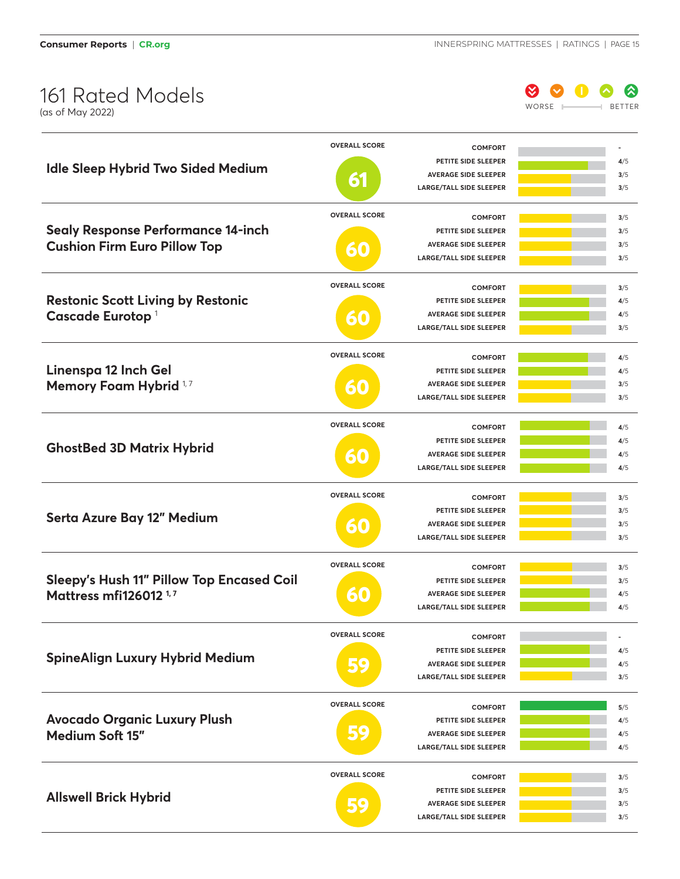

|                                                  | <b>OVERALL SCORE</b> | <b>COMFORT</b>                                                |            |
|--------------------------------------------------|----------------------|---------------------------------------------------------------|------------|
|                                                  |                      | PETITE SIDE SLEEPER                                           | 4/5        |
| <b>Idle Sleep Hybrid Two Sided Medium</b>        |                      | <b>AVERAGE SIDE SLEEPER</b>                                   | 3/5        |
|                                                  | 61                   | <b>LARGE/TALL SIDE SLEEPER</b>                                | 3/5        |
|                                                  |                      |                                                               |            |
|                                                  | <b>OVERALL SCORE</b> | <b>COMFORT</b>                                                | 3/5        |
| <b>Sealy Response Performance 14-inch</b>        |                      | PETITE SIDE SLEEPER                                           | 3/5        |
| <b>Cushion Firm Euro Pillow Top</b>              |                      | <b>AVERAGE SIDE SLEEPER</b>                                   | 3/5        |
|                                                  |                      | <b>LARGE/TALL SIDE SLEEPER</b>                                | 3/5        |
|                                                  |                      |                                                               |            |
|                                                  | <b>OVERALL SCORE</b> | <b>COMFORT</b>                                                | 3/5        |
| <b>Restonic Scott Living by Restonic</b>         |                      | PETITE SIDE SLEEPER                                           | 4/5        |
| Cascade Eurotop <sup>1</sup>                     |                      | <b>AVERAGE SIDE SLEEPER</b>                                   | 4/5        |
|                                                  |                      | <b>LARGE/TALL SIDE SLEEPER</b>                                | 3/5        |
|                                                  |                      |                                                               |            |
|                                                  | <b>OVERALL SCORE</b> | <b>COMFORT</b>                                                | 4/5        |
| Linenspa 12 Inch Gel                             |                      | PETITE SIDE SLEEPER                                           | 4/5        |
| Memory Foam Hybrid <sup>1,7</sup>                |                      | <b>AVERAGE SIDE SLEEPER</b>                                   | 3/5        |
|                                                  |                      | <b>LARGE/TALL SIDE SLEEPER</b>                                | 3/5        |
|                                                  |                      |                                                               |            |
|                                                  | <b>OVERALL SCORE</b> | <b>COMFORT</b>                                                | 4/5        |
|                                                  |                      | PETITE SIDE SLEEPER                                           | 4/5        |
| <b>GhostBed 3D Matrix Hybrid</b>                 |                      | <b>AVERAGE SIDE SLEEPER</b>                                   | 4/5        |
|                                                  |                      | <b>LARGE/TALL SIDE SLEEPER</b>                                | 4/5        |
|                                                  |                      |                                                               |            |
|                                                  | <b>OVERALL SCORE</b> | <b>COMFORT</b>                                                | 3/5        |
|                                                  |                      | PETITE SIDE SLEEPER                                           | 3/5        |
| Serta Azure Bay 12" Medium                       |                      | <b>AVERAGE SIDE SLEEPER</b>                                   | 3/5        |
|                                                  |                      | <b>LARGE/TALL SIDE SLEEPER</b>                                | 3/5        |
|                                                  |                      |                                                               |            |
|                                                  | <b>OVERALL SCORE</b> | <b>COMFORT</b>                                                | 3/5        |
| <b>Sleepy's Hush 11" Pillow Top Encased Coil</b> |                      | PETITE SIDE SLEEPER                                           | 3/5        |
| Mattress mfi126012 <sup>1,7</sup>                |                      | <b>AVERAGE SIDE SLEEPER</b>                                   | 4/5        |
|                                                  |                      | <b>LARGE/TALL SIDE SLEEPER</b>                                | 4/5        |
|                                                  |                      |                                                               |            |
|                                                  | <b>OVERALL SCORE</b> |                                                               |            |
|                                                  |                      | <b>COMFORT</b>                                                |            |
| <b>SpineAlign Luxury Hybrid Medium</b>           | $\bullet$            | PETITE SIDE SLEEPER                                           | 4/5        |
|                                                  |                      | <b>AVERAGE SIDE SLEEPER</b>                                   | 4/5        |
|                                                  |                      | <b>LARGE/TALL SIDE SLEEPER</b>                                | 3/5        |
|                                                  | <b>OVERALL SCORE</b> | <b>COMFORT</b>                                                | 5/5        |
|                                                  |                      |                                                               |            |
| <b>Avocado Organic Luxury Plush</b>              | $\bullet$            | PETITE SIDE SLEEPER                                           | 4/5        |
| Medium Soft 15"                                  | • >                  | <b>AVERAGE SIDE SLEEPER</b><br><b>LARGE/TALL SIDE SLEEPER</b> | 4/5<br>4/5 |
|                                                  |                      |                                                               |            |
|                                                  | <b>OVERALL SCORE</b> | <b>COMFORT</b>                                                | 3/5        |
|                                                  |                      | PETITE SIDE SLEEPER                                           | 3/5        |
| <b>Allswell Brick Hybrid</b>                     | $\bullet$            | <b>AVERAGE SIDE SLEEPER</b>                                   | 3/5        |
|                                                  |                      | LARGE/TALL SIDE SLEEPER                                       | 3/5        |